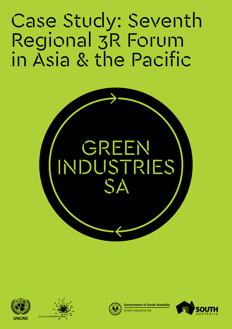Case Study: Seventh Regional 3R Forum in Asia & the Pacific









**Sovernment of South Australia** 

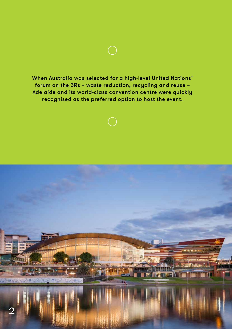When Australia was selected for a high-level United Nations' forum on the 3Rs – waste reduction, recycling and reuse – Adelaide and its world-class convention centre were quickly recognised as the preferred option to host the event.

 $\bigcap$ 

**REPORT AND** 

 $\overline{2}$ 

**Albert**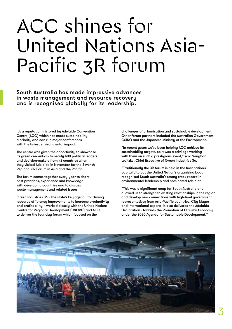## ACC shines for United Nations Asia-Pacific 3R forum

South Australia has made impressive advances in waste management and resource recovery and is recognised globally for its leadership.

It's a reputation mirrored by Adelaide Convention Centre (ACC) which has made sustainability a priority and can run major conferences with the tiniest environmental impact.

The centre was given the opportunity to showcase its green credentials to nearly 400 political leaders and decision-makers from 42 countries when they visited Adelaide in November for the Seventh Regional 3R Forum in Asia and the Pacific.

The forum comes together every year to share best practices, experience and knowledge with developing countries and to discuss waste management and related issues.

Green Industries SA – the state's key agency for driving resource efficiency improvements to increase productivity and profitability – worked closely with the United Nations Centre for Regional Development (UNCRD) and ACC to deliver the four-day forum which focused on the

challenges of urbanisation and sustainable development. Other forum partners included the Australian Government, CSIRO and the Japanese Ministry of the Environment.

"In recent years we've been helping ACC achieve its sustainability targets, so it was a privilege working with them on such a prestigious event," said Vaughan Levitzke, Chief Executive of Green Industries SA.

"Traditionally the 3R forum is held in the host nation's capital city but the United Nation's organising body recognised South Australia's strong track record in environmental leadership and nominated Adelaide.

"This was a significant coup for South Australia and allowed us to strengthen existing relationships in the region and develop new connections with high-level government representatives from Asia-Pacific countries, City Mayor and international experts. It also delivered the Adelaide Declaration - towards the Promotion of Circular Economy under the 2030 Agenda for Sustainable Development."

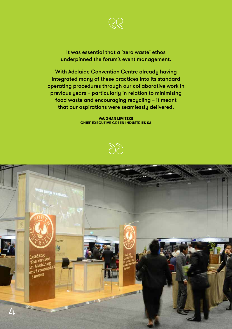

It was essential that a 'zero waste' ethos underpinned the forum's event management.

With Adelaide Convention Centre already having integrated many of these practices into its standard operating procedures through our collaborative work in previous years – particularly in relation to minimising food waste and encouraging recycling – it meant that our aspirations were seamlessly delivered.

> **VAUGHAN LEVITZKE CHIEF EXECUTIVE GREEN INDUSTRIES SA**



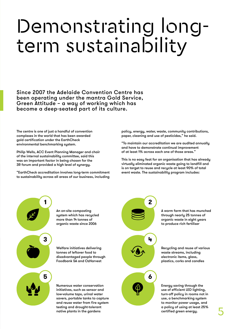# Demonstrating longterm sustainability

Since 2007 the Adelaide Convention Centre has been operating under the mantra Gold Service, Green Attitude – a way of working which has become a deep-seated part of its culture.

The centre is one of just a handful of convention complexes in the world that has been awarded gold certification under the EarthCheck environmental benchmarking system.

Philip Wells, ACC Event Planning Manager and chair of the internal sustainability committee, said this was an important factor in being chosen for the 3R forum and provided a high level of synergy.

"EarthCheck accreditation involves long-term commitment to sustainability across all areas of our business, including policy, energy, water, waste, community contributions, paper, cleaning and use of pesticides," he said.

"To maintain our accreditation we are audited annually and have to demonstrate continual improvement of at least 1% across each one of those areas."

This is no easy feat for an organisation that has already virtually eliminated organic waste going to landfill and is on target to reuse and recycle at least 90% of total event waste. The sustainability program includes:

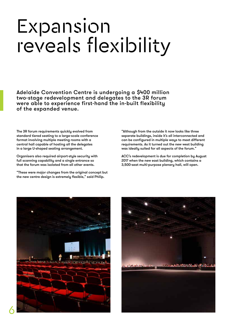## Expansion reveals flexibility

Adelaide Convention Centre is undergoing a \$400 million two-stage redevelopment and delegates to the 3R forum were able to experience first-hand the in-built flexibility of the expanded venue.

The 3R forum requirements quickly evolved from standard tiered seating to a large-scale conference format involving multiple meeting rooms with a central hall capable of hosting all the delegates in a large U-shaped seating arrangement.

Organisers also required airport-style security with full scanning capability and a single entrance so that the forum was isolated from all other events.

"These were major changes from the original concept but the new centre design is extremely flexible," said Philip.

"Although from the outside it now looks like three separate buildings, inside it's all interconnected and can be configured in multiple ways to meet different requirements. As it turned out the new west building was ideally suited for all aspects of the forum."

ACC's redevelopment is due for completion by August 2017 when the new east building, which contains a 3,500-seat multi-purpose plenary hall, will open.



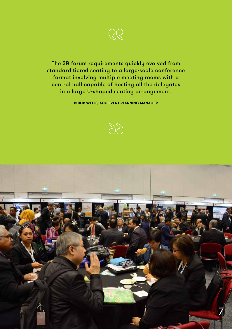

The 3R forum requirements quickly evolved from standard tiered seating to a large-scale conference format involving multiple meeting rooms with a central hall capable of hosting all the delegates in a large U-shaped seating arrangement.

**PHILIP WELLS, ACC EVENT PLANNING MANAGER**



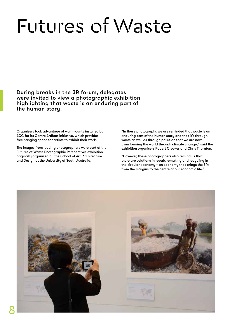# Futures of Waste

During breaks in the 3R forum, delegates were invited to view a photographic exhibition highlighting that waste is an enduring part of the human story.

Organisers took advantage of wall mounts installed by ACC for its Centre ArtBeat initiative, which provides free hanging space for artists to exhibit their work.

The images from leading photographers were part of the Futures of Waste Photographic Perspectives exhibition originally organised by the School of Art, Architecture and Design at the University of South Australia.

"In these photographs we are reminded that waste is an enduring part of the human story and that it's through waste as well as through pollution that we are now transforming the world through climate change," said the exhibition organisers Robert Crocker and Chris Thornton.

"However, these photographers also remind us that there are solutions in repair, remaking and recycling in the circular economy – an economy that brings the 3Rs from the margins to the centre of our economic life."